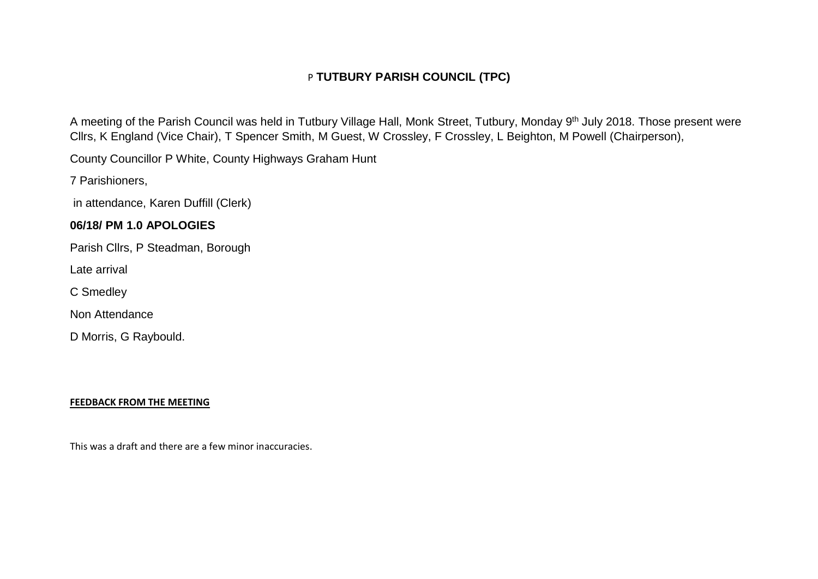# P **TUTBURY PARISH COUNCIL (TPC)**

A meeting of the Parish Council was held in Tutbury Village Hall, Monk Street, Tutbury, Monday 9<sup>th</sup> July 2018. Those present were Cllrs, K England (Vice Chair), T Spencer Smith, M Guest, W Crossley, F Crossley, L Beighton, M Powell (Chairperson),

County Councillor P White, County Highways Graham Hunt

7 Parishioners,

in attendance, Karen Duffill (Clerk)

## **06/18/ PM 1.0 APOLOGIES**

Parish Cllrs, P Steadman, Borough

Late arrival

C Smedley

Non Attendance

D Morris, G Raybould.

## **FEEDBACK FROM THE MEETING**

This was a draft and there are a few minor inaccuracies.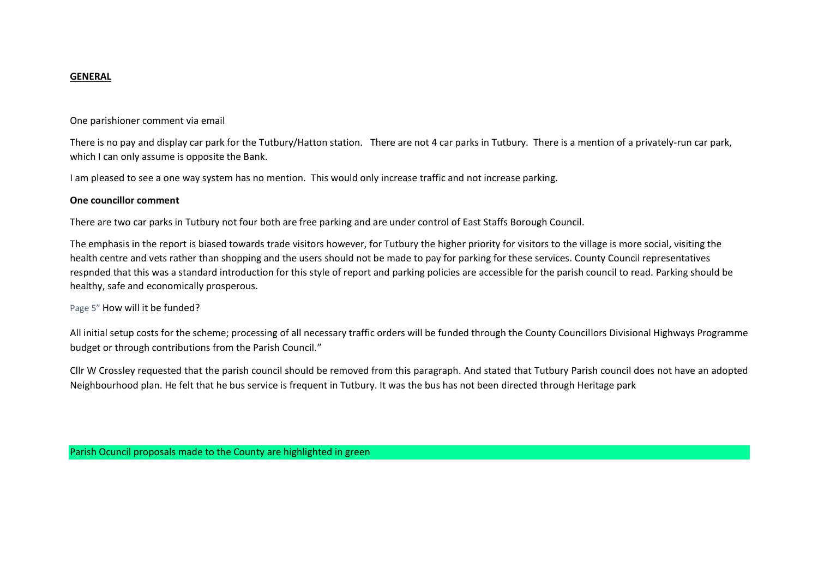#### **GENERAL**

One parishioner comment via email

There is no pay and display car park for the Tutbury/Hatton station. There are not 4 car parks in Tutbury. There is a mention of a privately-run car park, which I can only assume is opposite the Bank.

I am pleased to see a one way system has no mention. This would only increase traffic and not increase parking.

#### **One councillor comment**

There are two car parks in Tutbury not four both are free parking and are under control of East Staffs Borough Council.

The emphasis in the report is biased towards trade visitors however, for Tutbury the higher priority for visitors to the village is more social, visiting the health centre and vets rather than shopping and the users should not be made to pay for parking for these services. County Council representatives respnded that this was a standard introduction for this style of report and parking policies are accessible for the parish council to read. Parking should be healthy, safe and economically prosperous.

#### Page 5" How will it be funded?

All initial setup costs for the scheme; processing of all necessary traffic orders will be funded through the County Councillors Divisional Highways Programme budget or through contributions from the Parish Council."

Cllr W Crossley requested that the parish council should be removed from this paragraph. And stated that Tutbury Parish council does not have an adopted Neighbourhood plan. He felt that he bus service is frequent in Tutbury. It was the bus has not been directed through Heritage park

Parish Ocuncil proposals made to the County are highlighted in green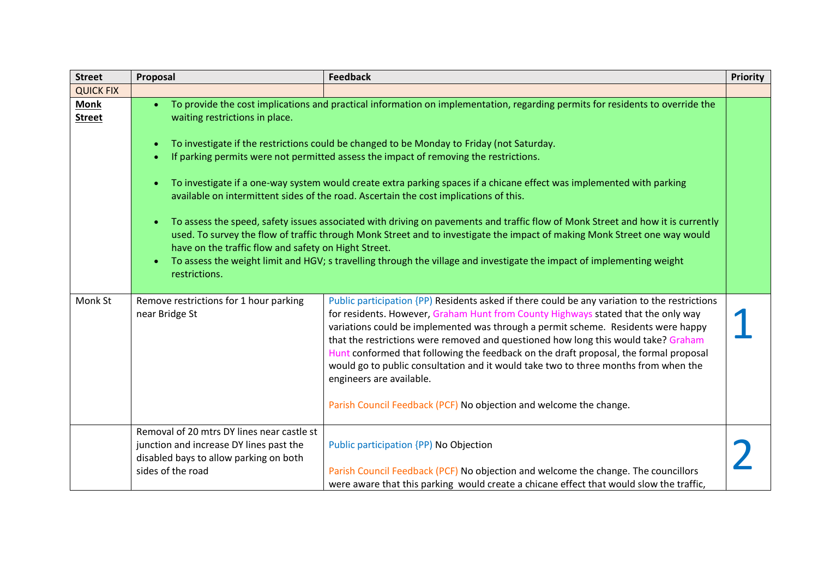| <b>Street</b>                | Proposal                                                                                                                                                                                                                                                                                                                                                                                                                                                                                                                                                                                                                                                                                                                                                                                                                                                                                                                                                                                                                                                                                       | <b>Feedback</b>                                                                                                                                                                                                                                                                                                                                                                                                                                                                                                                                                                                                                                 | Priority |
|------------------------------|------------------------------------------------------------------------------------------------------------------------------------------------------------------------------------------------------------------------------------------------------------------------------------------------------------------------------------------------------------------------------------------------------------------------------------------------------------------------------------------------------------------------------------------------------------------------------------------------------------------------------------------------------------------------------------------------------------------------------------------------------------------------------------------------------------------------------------------------------------------------------------------------------------------------------------------------------------------------------------------------------------------------------------------------------------------------------------------------|-------------------------------------------------------------------------------------------------------------------------------------------------------------------------------------------------------------------------------------------------------------------------------------------------------------------------------------------------------------------------------------------------------------------------------------------------------------------------------------------------------------------------------------------------------------------------------------------------------------------------------------------------|----------|
| <b>QUICK FIX</b>             |                                                                                                                                                                                                                                                                                                                                                                                                                                                                                                                                                                                                                                                                                                                                                                                                                                                                                                                                                                                                                                                                                                |                                                                                                                                                                                                                                                                                                                                                                                                                                                                                                                                                                                                                                                 |          |
| <b>Monk</b><br><b>Street</b> | To provide the cost implications and practical information on implementation, regarding permits for residents to override the<br>$\bullet$<br>waiting restrictions in place.<br>To investigate if the restrictions could be changed to be Monday to Friday (not Saturday.<br>$\bullet$<br>If parking permits were not permitted assess the impact of removing the restrictions.<br>To investigate if a one-way system would create extra parking spaces if a chicane effect was implemented with parking<br>$\bullet$<br>available on intermittent sides of the road. Ascertain the cost implications of this.<br>To assess the speed, safety issues associated with driving on pavements and traffic flow of Monk Street and how it is currently<br>$\bullet$<br>used. To survey the flow of traffic through Monk Street and to investigate the impact of making Monk Street one way would<br>have on the traffic flow and safety on Hight Street.<br>To assess the weight limit and HGV; s travelling through the village and investigate the impact of implementing weight<br>restrictions. |                                                                                                                                                                                                                                                                                                                                                                                                                                                                                                                                                                                                                                                 |          |
| Monk St                      | Remove restrictions for 1 hour parking<br>near Bridge St                                                                                                                                                                                                                                                                                                                                                                                                                                                                                                                                                                                                                                                                                                                                                                                                                                                                                                                                                                                                                                       | Public participation {PP) Residents asked if there could be any variation to the restrictions<br>for residents. However, Graham Hunt from County Highways stated that the only way<br>variations could be implemented was through a permit scheme. Residents were happy<br>that the restrictions were removed and questioned how long this would take? Graham<br>Hunt conformed that following the feedback on the draft proposal, the formal proposal<br>would go to public consultation and it would take two to three months from when the<br>engineers are available.<br>Parish Council Feedback (PCF) No objection and welcome the change. |          |
|                              | Removal of 20 mtrs DY lines near castle st<br>junction and increase DY lines past the<br>disabled bays to allow parking on both<br>sides of the road                                                                                                                                                                                                                                                                                                                                                                                                                                                                                                                                                                                                                                                                                                                                                                                                                                                                                                                                           | Public participation {PP) No Objection<br>Parish Council Feedback (PCF) No objection and welcome the change. The councillors<br>were aware that this parking would create a chicane effect that would slow the traffic,                                                                                                                                                                                                                                                                                                                                                                                                                         |          |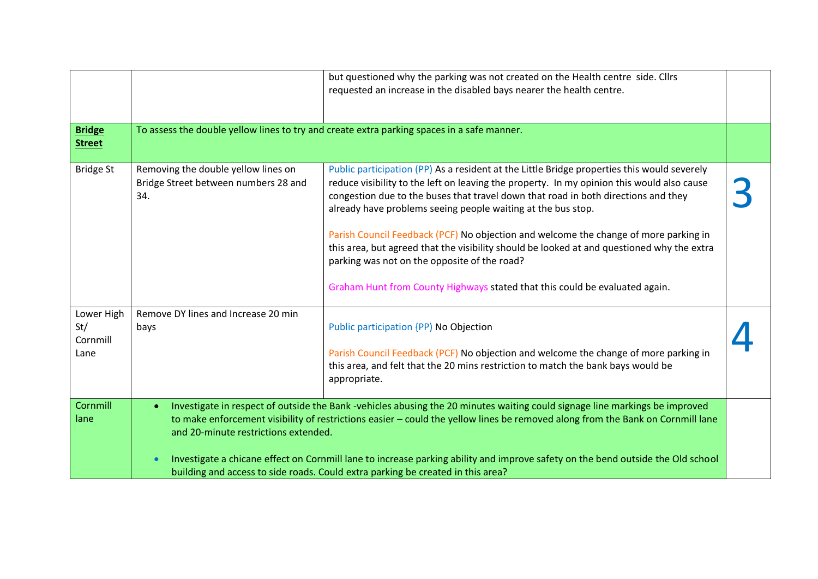|                                       |                                                                                    | but questioned why the parking was not created on the Health centre side. Cllrs<br>requested an increase in the disabled bays nearer the health centre.                                                                                                                                                                                                                                                                                                                                                                                                                                                                                                              |  |
|---------------------------------------|------------------------------------------------------------------------------------|----------------------------------------------------------------------------------------------------------------------------------------------------------------------------------------------------------------------------------------------------------------------------------------------------------------------------------------------------------------------------------------------------------------------------------------------------------------------------------------------------------------------------------------------------------------------------------------------------------------------------------------------------------------------|--|
| <b>Bridge</b><br><b>Street</b>        |                                                                                    | To assess the double yellow lines to try and create extra parking spaces in a safe manner.                                                                                                                                                                                                                                                                                                                                                                                                                                                                                                                                                                           |  |
| <b>Bridge St</b>                      | Removing the double yellow lines on<br>Bridge Street between numbers 28 and<br>34. | Public participation (PP) As a resident at the Little Bridge properties this would severely<br>reduce visibility to the left on leaving the property. In my opinion this would also cause<br>congestion due to the buses that travel down that road in both directions and they<br>already have problems seeing people waiting at the bus stop.<br>Parish Council Feedback (PCF) No objection and welcome the change of more parking in<br>this area, but agreed that the visibility should be looked at and questioned why the extra<br>parking was not on the opposite of the road?<br>Graham Hunt from County Highways stated that this could be evaluated again. |  |
| Lower High<br>St/<br>Cornmill<br>Lane | Remove DY lines and Increase 20 min<br>bays                                        | Public participation {PP} No Objection<br>Parish Council Feedback (PCF) No objection and welcome the change of more parking in<br>this area, and felt that the 20 mins restriction to match the bank bays would be<br>appropriate.                                                                                                                                                                                                                                                                                                                                                                                                                                   |  |
| Cornmill<br>lane                      | $\bullet$<br>and 20-minute restrictions extended.                                  | Investigate in respect of outside the Bank -vehicles abusing the 20 minutes waiting could signage line markings be improved<br>to make enforcement visibility of restrictions easier - could the yellow lines be removed along from the Bank on Cornmill lane<br>Investigate a chicane effect on Cornmill lane to increase parking ability and improve safety on the bend outside the Old school<br>building and access to side roads. Could extra parking be created in this area?                                                                                                                                                                                  |  |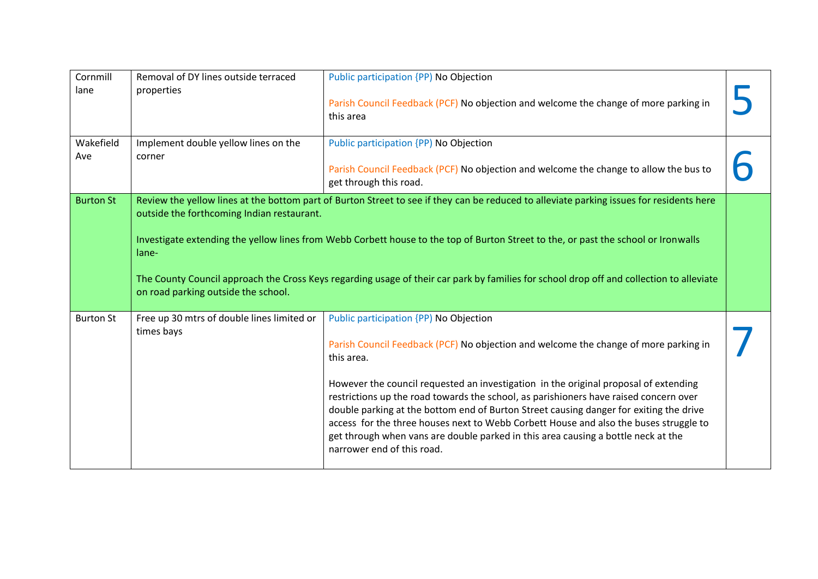| Cornmill<br>lane | Removal of DY lines outside terraced<br>properties                                         | Public participation {PP) No Objection<br>Parish Council Feedback (PCF) No objection and welcome the change of more parking in<br>this area                                                                                                                                                                                                                                                                                                                                                                                                                                                                                         |  |
|------------------|--------------------------------------------------------------------------------------------|-------------------------------------------------------------------------------------------------------------------------------------------------------------------------------------------------------------------------------------------------------------------------------------------------------------------------------------------------------------------------------------------------------------------------------------------------------------------------------------------------------------------------------------------------------------------------------------------------------------------------------------|--|
| Wakefield<br>Ave | Implement double yellow lines on the<br>corner                                             | Public participation {PP) No Objection<br>Parish Council Feedback (PCF) No objection and welcome the change to allow the bus to<br>get through this road.                                                                                                                                                                                                                                                                                                                                                                                                                                                                           |  |
| <b>Burton St</b> | outside the forthcoming Indian restaurant.<br>lane-<br>on road parking outside the school. | Review the yellow lines at the bottom part of Burton Street to see if they can be reduced to alleviate parking issues for residents here<br>Investigate extending the yellow lines from Webb Corbett house to the top of Burton Street to the, or past the school or Ironwalls<br>The County Council approach the Cross Keys regarding usage of their car park by families for school drop off and collection to alleviate                                                                                                                                                                                                          |  |
| <b>Burton St</b> | Free up 30 mtrs of double lines limited or<br>times bays                                   | Public participation {PP} No Objection<br>Parish Council Feedback (PCF) No objection and welcome the change of more parking in<br>this area.<br>However the council requested an investigation in the original proposal of extending<br>restrictions up the road towards the school, as parishioners have raised concern over<br>double parking at the bottom end of Burton Street causing danger for exiting the drive<br>access for the three houses next to Webb Corbett House and also the buses struggle to<br>get through when vans are double parked in this area causing a bottle neck at the<br>narrower end of this road. |  |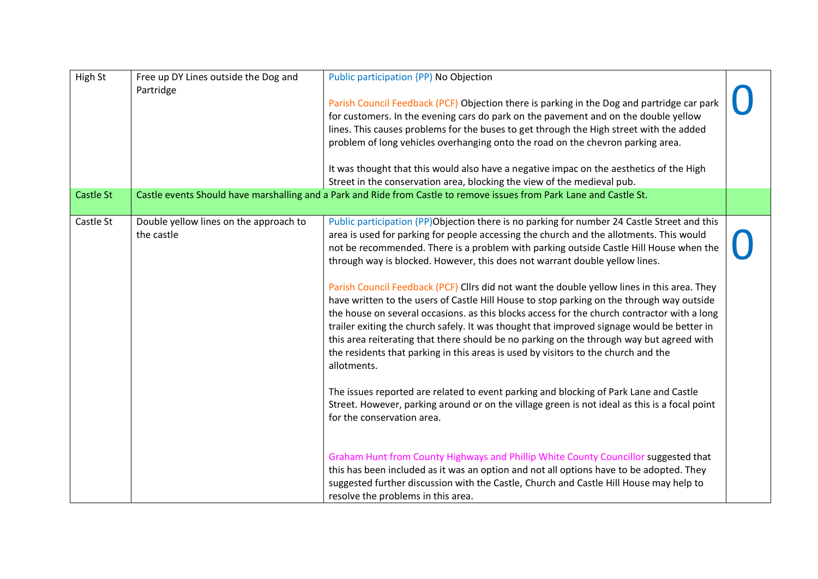| High St          | Free up DY Lines outside the Dog and<br>Partridge    | Public participation {PP) No Objection<br>Parish Council Feedback (PCF) Objection there is parking in the Dog and partridge car park<br>for customers. In the evening cars do park on the pavement and on the double yellow<br>lines. This causes problems for the buses to get through the High street with the added<br>problem of long vehicles overhanging onto the road on the chevron parking area.<br>It was thought that this would also have a negative impac on the aesthetics of the High<br>Street in the conservation area, blocking the view of the medieval pub.                                                                                                                                                                                                                                                                                                                                                                                                                                                                                                                                                                                                                                                                                                                                                                                     |  |
|------------------|------------------------------------------------------|---------------------------------------------------------------------------------------------------------------------------------------------------------------------------------------------------------------------------------------------------------------------------------------------------------------------------------------------------------------------------------------------------------------------------------------------------------------------------------------------------------------------------------------------------------------------------------------------------------------------------------------------------------------------------------------------------------------------------------------------------------------------------------------------------------------------------------------------------------------------------------------------------------------------------------------------------------------------------------------------------------------------------------------------------------------------------------------------------------------------------------------------------------------------------------------------------------------------------------------------------------------------------------------------------------------------------------------------------------------------|--|
| <b>Castle St</b> |                                                      | Castle events Should have marshalling and a Park and Ride from Castle to remove issues from Park Lane and Castle St.                                                                                                                                                                                                                                                                                                                                                                                                                                                                                                                                                                                                                                                                                                                                                                                                                                                                                                                                                                                                                                                                                                                                                                                                                                                |  |
| Castle St        | Double yellow lines on the approach to<br>the castle | Public participation (PP)Objection there is no parking for number 24 Castle Street and this<br>area is used for parking for people accessing the church and the allotments. This would<br>not be recommended. There is a problem with parking outside Castle Hill House when the<br>through way is blocked. However, this does not warrant double yellow lines.<br>Parish Council Feedback (PCF) Cllrs did not want the double yellow lines in this area. They<br>have written to the users of Castle Hill House to stop parking on the through way outside<br>the house on several occasions. as this blocks access for the church contractor with a long<br>trailer exiting the church safely. It was thought that improved signage would be better in<br>this area reiterating that there should be no parking on the through way but agreed with<br>the residents that parking in this areas is used by visitors to the church and the<br>allotments.<br>The issues reported are related to event parking and blocking of Park Lane and Castle<br>Street. However, parking around or on the village green is not ideal as this is a focal point<br>for the conservation area.<br>Graham Hunt from County Highways and Phillip White County Councillor suggested that<br>this has been included as it was an option and not all options have to be adopted. They |  |
|                  |                                                      | suggested further discussion with the Castle, Church and Castle Hill House may help to<br>resolve the problems in this area.                                                                                                                                                                                                                                                                                                                                                                                                                                                                                                                                                                                                                                                                                                                                                                                                                                                                                                                                                                                                                                                                                                                                                                                                                                        |  |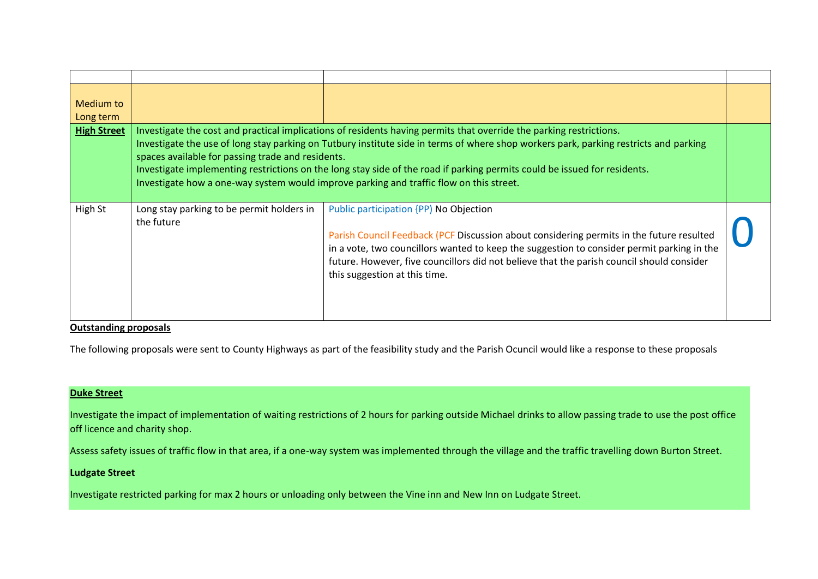| Medium to<br>Long term |                                                         |                                                                                                                                                                                                                                                                                                                                                                                                                                                                                      |  |
|------------------------|---------------------------------------------------------|--------------------------------------------------------------------------------------------------------------------------------------------------------------------------------------------------------------------------------------------------------------------------------------------------------------------------------------------------------------------------------------------------------------------------------------------------------------------------------------|--|
| <b>High Street</b>     | spaces available for passing trade and residents.       | Investigate the cost and practical implications of residents having permits that override the parking restrictions.<br>Investigate the use of long stay parking on Tutbury institute side in terms of where shop workers park, parking restricts and parking<br>Investigate implementing restrictions on the long stay side of the road if parking permits could be issued for residents.<br>Investigate how a one-way system would improve parking and traffic flow on this street. |  |
| High St                | Long stay parking to be permit holders in<br>the future | Public participation {PP} No Objection<br>Parish Council Feedback (PCF Discussion about considering permits in the future resulted<br>in a vote, two councillors wanted to keep the suggestion to consider permit parking in the<br>future. However, five councillors did not believe that the parish council should consider<br>this suggestion at this time.                                                                                                                       |  |

#### **Outstanding proposals**

The following proposals were sent to County Highways as part of the feasibility study and the Parish Ocuncil would like a response to these proposals

## **Duke Street**

Investigate the impact of implementation of waiting restrictions of 2 hours for parking outside Michael drinks to allow passing trade to use the post office off licence and charity shop.

Assess safety issues of traffic flow in that area, if a one-way system was implemented through the village and the traffic travelling down Burton Street.

## **Ludgate Street**

Investigate restricted parking for max 2 hours or unloading only between the Vine inn and New Inn on Ludgate Street.